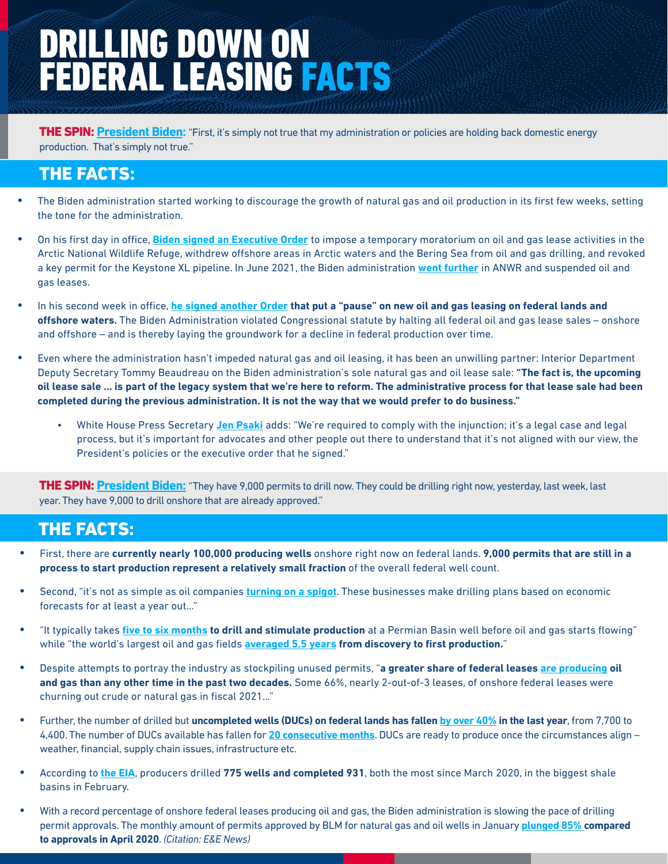# DRILLING DOWN ON FEDERAL LEASING FACTS

THE SPIN: **[President Biden](https://www.whitehouse.gov/briefing-room/speeches-remarks/2022/03/08/remarks-by-president-biden-announcing-u-s-ban-on-imports-of-russian-oil-liquefied-natural-gas-and-coal/):** "First, it's simply not true that my administration or policies are holding back domestic energy production. That's simply not true."

## THE FACTS:

- **•** The Biden administration started working to discourage the growth of natural gas and oil production in its first few weeks, setting the tone for the administration.
- **•** On his first day in office, **[Biden signed an Executive Order](https://www.govinfo.gov/content/pkg/FR-2021-01-25/pdf/2021-01765.pdf)** to impose a temporary moratorium on oil and gas lease activities in the Arctic National Wildlife Refuge, withdrew offshore areas in Arctic waters and the Bering Sea from oil and gas drilling, and revoked a key permit for the Keystone XL pipeline. In June 2021, the Biden administration **[went further](https://apnews.com/article/alaska-arctic-wildlife-refuge-oil-gas-drilling-biden-b9f20088957d42e99b791ff94169198f)** in ANWR and suspended oil and gas leases.
- **•** In his second week in office, **[he signed another Order](https://www.govinfo.gov/content/pkg/FR-2021-02-01/pdf/2021-02177.pdf) that put a "pause" on new oil and gas leasing on federal lands and offshore waters.** The Biden Administration violated Congressional statute by halting all federal oil and gas lease sales – onshore and offshore – and is thereby laying the groundwork for a decline in federal production over time.
- **•** Even where the administration hasn't impeded natural gas and oil leasing, it has been an unwilling partner: Interior Department Deputy Secretary Tommy Beaudreau on the Biden administration's sole natural gas and oil lease sale: **"The fact is, the upcoming oil lease sale ... is part of the legacy system that we're here to reform. The administrative process for that lease sale had been completed during the previous administration. It is not the way that we would prefer to do business."** 
	- White House Press Secretary **[Jen Psaki](https://www.cnn.com/2021/11/17/politics/biden-oil-gas-leasing-gulf-of-mexico-climate/index.html)** adds: "We're required to comply with the injunction; it's a legal case and legal process, but it's important for advocates and other people out there to understand that it's not aligned with our view, the President's policies or the executive order that he signed."

THE SPIN: **[President Biden:](https://www.whitehouse.gov/briefing-room/speeches-remarks/2022/03/08/remarks-by-president-biden-announcing-u-s-ban-on-imports-of-russian-oil-liquefied-natural-gas-and-coal/)** "They have 9,000 permits to drill now. They could be drilling right now, yesterday, last week, last year. They have 9,000 to drill onshore that are already approved."

### **THE FACTS:**

- **•** First, there are **currently nearly 100,000 producing wells** onshore right now on federal lands. **9,000 permits that are still in a process to start production represent a relatively small fraction** of the overall federal well count.
- **•** Second, "it's not as simple as oil companies **[turning on a spigot](https://www.bloomberg.com/news/articles/2022-03-11/ukraine-war-puts-biden-and-u-s-oil-at-odds-on-domestic-drilling?sref=3AWBLaHT)**. These businesses make drilling plans based on economic forecasts for at least a year out…"
- **•** "It typically takes **[five to six months](https://www.bloomberg.com/news/articles/2022-03-11/ukraine-war-puts-biden-and-u-s-oil-at-odds-on-domestic-drilling?sref=3AWBLaHT) to drill and stimulate production** at a Permian Basin well before oil and gas starts flowing" while "the world's largest oil and gas fields **[averaged 5.5 years](https://www.investopedia.com/ask/answers/061115/how-long-does-it-take-oil-and-gas-producer-go-drilling-production.asp) from discovery to first production.**"
- **•** Despite attempts to portray the industry as stockpiling unused permits, "**a greater share of federal leases [are producing](https://www.investopedia.com/ask/answers/061115/how-long-does-it-take-oil-and-gas-producer-go-drilling-production.asp) oil and gas than any other time in the past two decades.** Some 66%, nearly 2-out-of-3 leases, of onshore federal leases were churning out crude or natural gas in fiscal 2021…"
- **•** Further, the number of drilled but **uncompleted wells (DUCs) on federal lands has fallen [by over 40%](https://www.eia.gov/petroleum/drilling/) in the last year**, from 7,700 to 4,400. The number of DUCs available has fallen for **[20 consecutive months](https://www.reuters.com/business/energy/permian-oil-output-forecast-hit-record-high-april-eia-2022-03-14/)**. DUCs are ready to produce once the circumstances align – weather, financial, supply chain issues, infrastructure etc.
- **•** According to **[the EIA](https://www.reuters.com/business/energy/permian-oil-output-forecast-hit-record-high-april-eia-2022-03-14/)**, producers drilled **775 wells and completed 931**, both the most since March 2020, in the biggest shale basins in February.
- **•** With a record percentage of onshore federal leases producing oil and gas, the Biden administration is slowing the pace of drilling permit approvals. The monthly amount of permits approved by BLM for natural gas and oil wells in January **[plunged 85% c](https://www.eenews.net/articles/drilling-permits-spiked-then-plunged-under-biden/)ompared to approvals in April 2020**. *(Citation: E&E News)*